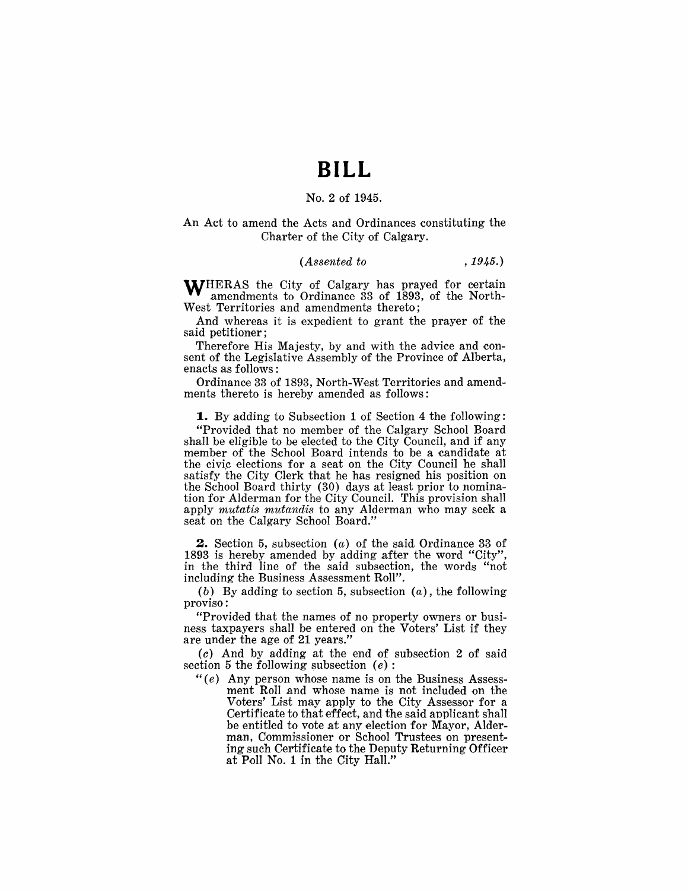## **BILL**

#### No.2 of 1945.

#### An Act to amend the Acts and Ordinances constituting the Charter of the City of Calgary.

#### *(Assented to* , 1945.)

WHERAS the City of Calgary has prayed for certain amendments to Ordinance 33 of 1893, of the North-West Territories and amendments thereto;

And whereas it is expedient to grant the prayer of the said petitioner;

Therefore His Majesty, by and with the advice and consent of the Legislative Assembly of the Province of Alberta, enacts as follows:

Ordinance 33 of 1893, North-West Territories and amendments thereto is hereby amended as follows:

**1.** By adding to Subsection 1 of Section 4 the following: "Provided that no member of the Calgary School Board shall be eligible to be elected to the City Council, and if any member of the School Board intends to be a candidate at the civic elections for a seat on the City Council he shall satisfy the City Clerk that he has resigned his position on the School Board thirty (30) days at least prior to nomination for Alderman for the City Council. This provision shall apply *mutatis mutandis* to any Alderman who may seek a seat on the Calgary School Board."

**2.** Section 5, subsection (a) of the said Ordinance 33 of 1893 is hereby amended by adding after the word "City" in the third line of the said subsection, the words "not including the Business Assessment Roll".

(b) By adding to section 5, subsection  $(a)$ , the following proviso.:

"Provided that the names of no property owners or business taxpayers shall be entered on the Voters' List if they are under the age of 21 years."

(c) And by adding at the end of subsection 2 of said section 5 the following subsection  $(e)$ :

" $(e)$  Any person whose name is on the Business Assessment Roll and whose name is not included on the Voters' List may apply to the City Assessor for a Certificate to that effect, and the said applicant shall be entitled to vote at any election for Mayor, Alderman, Commissioner or School Trustees on presenting such Certificate to the Deputy Returning Officer at Poll No. 1 in the City Hall."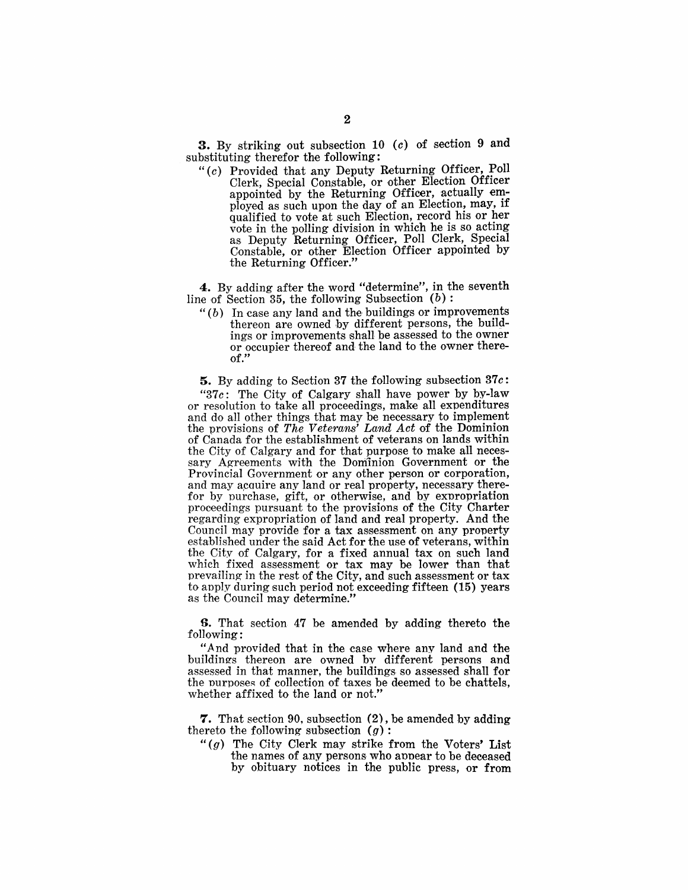3. By striking out subsection 10 (c) of section 9 and substituting therefor the following:

*"(c)* Provided that any Deputy Returning Officer, Poll Clerk, Special Constable, or other Election Officer appointed by the Returning Officer, actually employed as such upon the day of an Election, may, if qualified to vote at such Election, record his or her vote in the polling division in which he is so acting as Deputy Returning Officer, Poll Clerk, Special Constable, or other Election Officer appointed by the Returning Officer."

4. By adding after the word "determine", in the seventh line of Section 35, the following Subsection  $(b)$ :

" $(b)$  In case any land and the buildings or improvements thereon are owned by different persons, the buildings or improvements shall be assessed to the owner or occupier thereof and the land to the owner thereof."

5. By adding to Section 37 the following subsection  $37c$ :

" $37c$ : The City of Calgary shall have power by by-law or resolution to take all proceedings, make all expenditures and do all other things that may be necessary to implement the provisions of *The Veterans' Land Act* of the Dominion of Canada for the establishment of veterans on lands within the City of Calgary and for that purpose to make all necessary Agreements with the Dominion Government or the Provincial Government or any other person or corporation, and may acquire any land or real property, necessary therefor by purchase, gift, or otherwise, and by expropriation proceedings pursuant to the provisions of the City Charter regarding expropriation of land and real property. And the Council may provide for a tax assessment on any property established under the said Act for the use of veterans, within the City of Calgary, for a fixed annual tax on such land which fixed assessment or tax may be lower than that prevailing in the rest of the City, and such assessment or tax to apply during such period not exceeding fifteen (15) years as the Council may determine."

**S.** That section 47 be amended by adding thereto the following:

"And provided that in the case where any land and the buildings thereon are owned by different persons and assessed in that manner, the buildings so assessed shall for the purposes of collection of taxes be deemed to be chattels. whether affixed to the land or not."

**7.** That section 90, subsection (2), be amended by adding thereto the following subsection  $(g)$ :

" $(q)$  The City Clerk may strike from the Voters' List the names of any persons who appear to be deceased by obituary notices in the public press, or from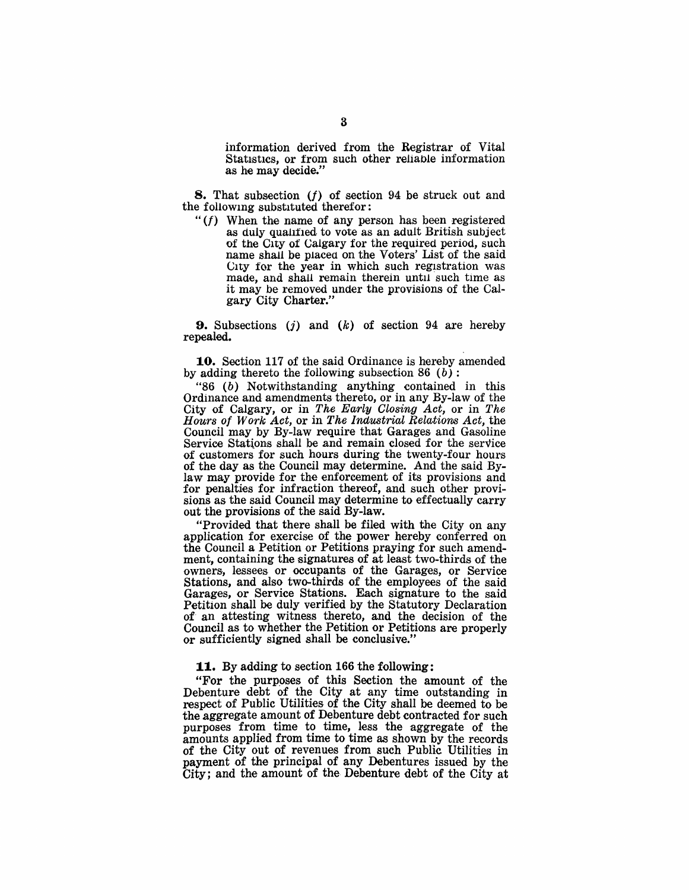information derived from the Registrar of Vital Statistics, or from such other reliable information as he may decide."

8. That subsection *<f)* of section 94 be struck out and the following substituted therefor:

 $f(f)$  When the name of any person has been registered as duly qualified to vote as an adult British subject of the City of Calgary for the required period, such name shall be placed on the Voters' List of the said City for the year in which such registration was made, and shall remain therein until such time as it may be removed under the provisions of the Calgary City Charter."

**9.** Subsections (j) and  $(k)$  of section 94 are hereby repealed.

10. Section 117 of the said Ordinance is hereby amended by adding thereto the following subsection 86 (b):

"86 (b) Notwithstanding anything contained in this Ordinance and amendments thereto, or in any By-law of the City of Calgary, or in *The Early Closing Act,* or in *The Hours of Work Act, or in The Industrial Relations Act, the* Council may by By-law require that Garages and Gasoline Service Stations shall be and remain closed for the service of customers' for such hours during the twenty-four hours of the day as the Council may determine. And the said Bylaw may provide for the enforcement of its provisions and for penalties for infraction thereof, and such other provisions as the said Council may determine to effectually carry out the provisions of the said By-law.

"Provided that there shall be filed with the City on any application for exercise of the power hereby conferred on the Council a Petition or Petitions praying for such amendment, containing the signatures of at least two-thirds of the owners, lessees or occupants of the Garages, or Service Stations, and also two-thirds of the employees of the said Garages, or Service Stations. Each signature to the said Petition shall be duly verified by the Statutory Declaration of- an attesting witness thereto, and the decision of the Council as to whether the Petition or Petitions are properly or sufficiently signed shall be conclusive."

#### 11. By adding to section 166 the following:

"For the purposes of this Section the amount of the Debenture debt of the City at any time outstanding in respect of Public Utilities of the City shall be deemed to be the aggregate amount of Debenture debt contracted for such purposes from time to time, less the aggregate of the amounts applied from time to time as shown by the records of the City out of revenues from such Public Utilities in payment of the principal of any Debentures issued by the City; and the amount of the Debenture debt of the City at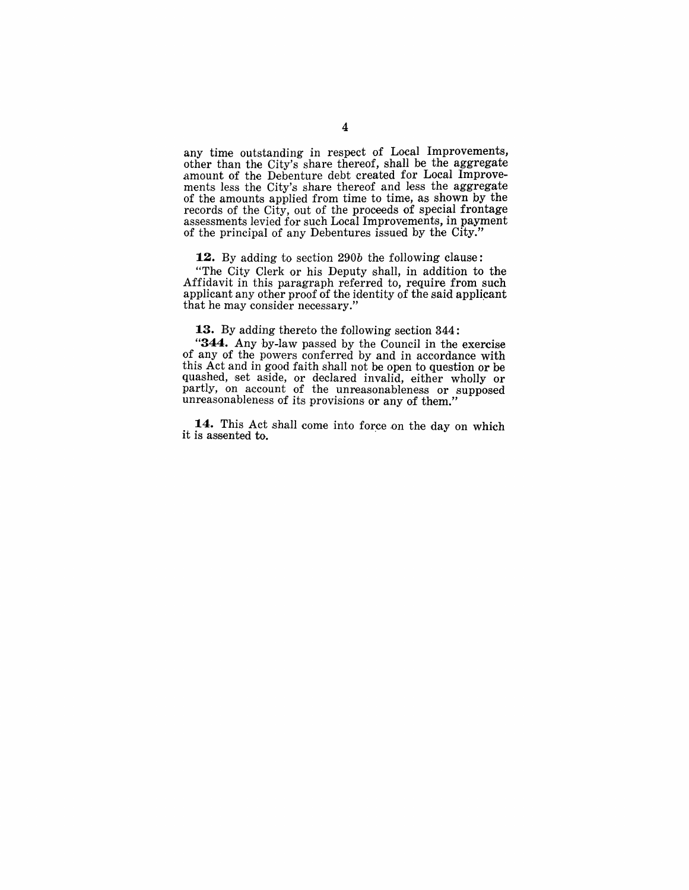any time outstanding in respect of Local Improvements, other than the City's share thereof, shall be the aggregate amount of the Debenture debt created for Local Improvements less the City's share thereof and less the aggregate of the amounts applied from time to time, as shown by the records of the City, out of the proceeds of special frontage assessments levied for such Local Improvements, in payment of the principal of any Debentures issued by the City."

**12.** By adding to section *290b* the following clause:

"The City Clerk or his Deputy shall, in addition to the Affidavit in this paragraph referred to, require from such applicant any other proof of the identity of the said applicant that he may consider necessary."

**13.** By adding thereto the following section 344:

"344. Any by-law passed by the Council in the exercise of any of the powers conferred by and in accordance with this Act and in good faith shall not be open to question or be quashed, set aside, or declared invalid, either wholly or partly, on account of the unreasonableness or supposed unreasonableness of its provisions or any of them."

14. This Act shall come into force on the day on which it is assented to.